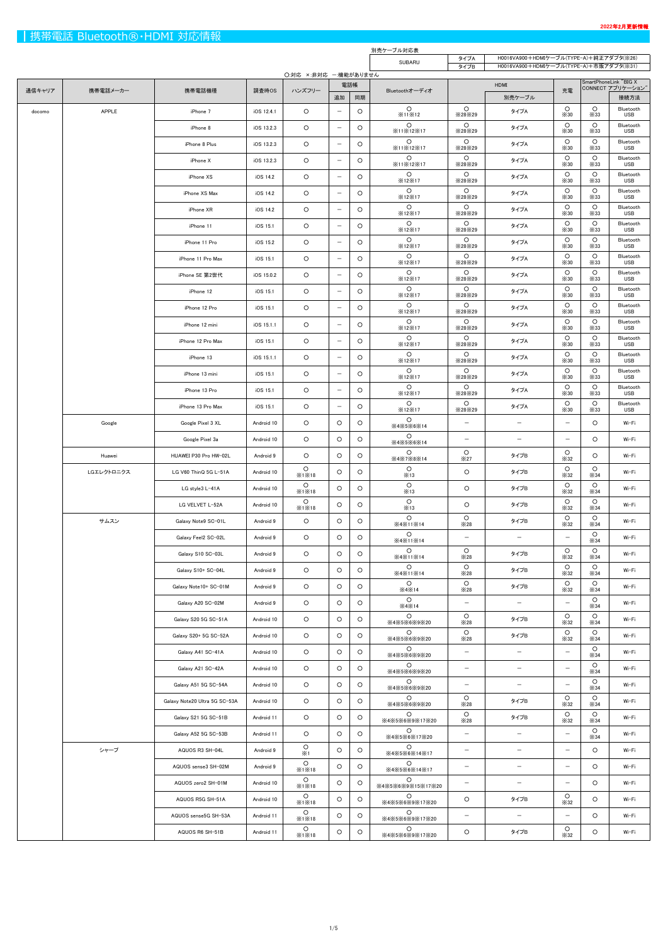|        |            |                               |            |                              |                          |         | 別売ケーブル対応表                         |                          |                                                                                    |                        |                        |                           |  |
|--------|------------|-------------------------------|------------|------------------------------|--------------------------|---------|-----------------------------------|--------------------------|------------------------------------------------------------------------------------|------------------------|------------------------|---------------------------|--|
|        |            |                               |            |                              |                          |         | <b>SUBARU</b>                     | タイプA<br>タイプB             | H0016VA900+HDMIケーブル(TYPE-A)+純正アダプタ(※26)<br>H0016VA900+HDMIケーブル(TYPE-A)+市販アダプタ(※31) |                        |                        |                           |  |
|        |            |                               |            | 〇:対応 ×:非対応 -:機能がありません<br>電話帳 |                          |         |                                   |                          | HDMI                                                                               |                        | SmartPhoneLink "BIG X  |                           |  |
| 通信キャリア | 携帯電話メーカー   | 携帯電話機種                        | 調査時OS      | ハンズフリー                       | 追加                       | 同期      | Bluetoothオーディオ                    |                          | 別売ケーブル                                                                             | 充電                     |                        | CONNECT アプリケーション"<br>接続方法 |  |
| docomo | APPLE      | iPhone 7                      | iOS 12.4.1 | $\circ$                      | $\overline{\phantom{m}}$ | $\circ$ | $\circ$<br>×11×12                 | $\circ$<br>×28×29        | タイプA                                                                               | $\circ$<br>$\times$ 30 | $\circ$<br>$\times$ 33 | Bluetooth<br><b>USB</b>   |  |
|        |            | iPhone 8                      | iOS 13.2.3 | $\circ$                      | $\overline{\phantom{m}}$ | $\circ$ | $\circ$<br>X11X12X17              | $\circ$<br>×28×29        | タイプA                                                                               | $\circ$<br>$\times$ 30 | $\circ$<br>$\times$ 33 | Bluetooth<br><b>USB</b>   |  |
|        |            | iPhone 8 Plus                 | iOS 13.2.3 | $\circ$                      | $\overline{\phantom{m}}$ | $\circ$ | $\circ$<br>X11X12X17              | $\circ$<br>×28×29        | タイプA                                                                               | $\circ$<br>$\times$ 30 | $\circ$<br>$\times$ 33 | Bluetooth<br><b>USB</b>   |  |
|        |            | iPhone X                      | iOS 13.2.3 | $\circ$                      | $\overline{\phantom{m}}$ | $\circ$ | $\circ$<br>X11X12X17              | $\circ$<br>×28×29        | タイプA                                                                               | $\circ$<br>$\times$ 30 | $\circ$<br>$\times$ 33 | Bluetooth<br><b>USB</b>   |  |
|        |            | iPhone XS                     | iOS 14.2   | $\circ$                      | $\overline{\phantom{m}}$ | $\circ$ | $\circ$<br>×12×17                 | $\circ$<br>×28×29        | タイプA                                                                               | $\circ$<br>$\times$ 30 | $\circ$<br>$\times$ 33 | Bluetooth<br><b>USB</b>   |  |
|        |            | iPhone XS Max                 | iOS 14.2   | $\circ$                      | $\overline{\phantom{m}}$ | $\circ$ | $\circ$<br>×12×17                 | $\circ$<br>×28×29        | タイプA                                                                               | $\circ$<br>$\times30$  | $\circ$<br>$\times$ 33 | Bluetooth<br><b>USB</b>   |  |
|        |            | iPhone XR                     | iOS 14.2   | $\circ$                      | $\overline{\phantom{m}}$ | $\circ$ | $\circ$<br>X12X17                 | $\circ$<br>×28×29        | タイプA                                                                               | $\circ$<br>$\times$ 30 | $\circ$<br>$\times$ 33 | Bluetooth<br><b>USB</b>   |  |
|        |            | iPhone 11                     | iOS 15.1   | $\circ$                      | $\overline{\phantom{m}}$ | $\circ$ | $\circ$<br>X12X17                 | $\circ$<br>×28×29        | タイプA                                                                               | $\circ$<br>$\times$ 30 | $\circ$<br>$\times$ 33 | Bluetooth<br><b>USB</b>   |  |
|        |            | iPhone 11 Pro                 | iOS 15.2   | $\circ$                      | $\overline{\phantom{m}}$ | $\circ$ | $\circ$<br>×12×17                 | $\circ$<br>×28×29        | タイプA                                                                               | $\circ$<br>$\times$ 30 | $\circ$<br>$\times$ 33 | Bluetooth<br><b>USB</b>   |  |
|        |            | iPhone 11 Pro Max             | iOS 15.1   | $\circ$                      | $\overline{\phantom{m}}$ | $\circ$ | $\circ$<br>×12×17                 | $\circ$<br>×28×29        | タイプA                                                                               | $\circ$<br>$\times$ 30 | $\circ$<br>$\times$ 33 | Bluetooth<br><b>USB</b>   |  |
|        |            | iPhone SE 第2世代                | iOS 15.0.2 | $\circ$                      | $\overline{\phantom{m}}$ | $\circ$ | $\circ$<br>X12X17                 | $\circ$<br>X28X29        | タイプA                                                                               | $\circ$<br>$\times$ 30 | $\circ$<br>$\times$ 33 | Bluetooth<br><b>USB</b>   |  |
|        |            | iPhone 12                     | iOS 15.1   | $\circ$                      | $\overline{\phantom{m}}$ | $\circ$ | $\circ$<br>×12×17                 | $\circ$<br>×28×29        | タイプA                                                                               | $\circ$<br>$\times30$  | $\circ$<br>$\times$ 33 | Bluetooth<br><b>USB</b>   |  |
|        |            | iPhone 12 Pro                 | iOS 15.1   | $\circ$                      | $\overline{\phantom{m}}$ | $\circ$ | $\circ$<br>X12X17                 | $\circ$<br>×28×29        | タイプA                                                                               | $\circ$<br>$\times$ 30 | $\circ$<br>$\times$ 33 | Bluetooth<br><b>USB</b>   |  |
|        |            | iPhone 12 mini                | iOS 15.1.1 | $\circ$                      | $\overline{\phantom{m}}$ | $\circ$ | $\circ$<br>×12×17                 | $\circ$<br>×28×29        | タイプA                                                                               | $\circ$<br>$\times$ 30 | $\circ$<br>$\times$ 33 | Bluetooth<br><b>USB</b>   |  |
|        |            | iPhone 12 Pro Max             | iOS 15.1   | $\circ$                      | $\overline{\phantom{m}}$ | $\circ$ | $\circ$<br>X12X17                 | $\circ$<br>×28×29        | タイプA                                                                               | $\circ$<br>$\times$ 30 | $\circ$<br>$\times$ 33 | Bluetooth<br><b>USB</b>   |  |
|        |            | iPhone 13                     | iOS 15.1.1 | $\circ$                      | $\overline{\phantom{m}}$ | $\circ$ | $\circ$<br>X12X17                 | $\circ$<br>×28×29        | タイプA                                                                               | $\circ$<br>$\times$ 30 | $\circ$<br>$\times$ 33 | Bluetooth<br><b>USB</b>   |  |
|        |            | iPhone 13 mini                | iOS 15.1   | $\circ$                      | $\overline{\phantom{m}}$ | $\circ$ | $\circ$<br>X12X17                 | $\circ$<br>X28X29        | タイプA                                                                               | $\circ$<br>$\times$ 30 | $\circ$<br>$\times$ 33 | Bluetooth<br><b>USB</b>   |  |
|        |            | iPhone 13 Pro                 | iOS 15.1   | $\circ$                      | $\overline{\phantom{m}}$ | $\circ$ | $\circ$<br>×12×17                 | $\circ$<br>×28×29        | タイプA                                                                               | $\circ$<br>$\times$ 30 | $\circ$<br>$\times$ 33 | Bluetooth<br>USB          |  |
|        |            | iPhone 13 Pro Max             | iOS 15.1   | $\circ$                      | $\overline{\phantom{m}}$ | $\circ$ | $\circ$<br>×12×17                 | $\circ$<br>×28×29        | タイプA                                                                               | $\circ$<br>$\times30$  | O<br>$\times$ 33       | Bluetooth<br><b>USB</b>   |  |
|        | Google     | Google Pixel 3 XL             | Android 10 | $\circ$                      | O                        | $\circ$ | $\circ$                           | $\overline{\phantom{m}}$ | $\overline{\phantom{m}}$                                                           | $-$                    | O                      | Wi-Fi                     |  |
|        |            | Google Pixel 3a               | Android 10 | $\circ$                      | $\circ$                  | $\circ$ | X4X5X6X14<br>$\circ$<br>X4X5X6X14 | $\overline{\phantom{m}}$ | $\qquad \qquad -$                                                                  | $\qquad \qquad -$      | O                      | Wi-Fi                     |  |
|        | Huawei     | HUAWEI P30 Pro HW-02L         | Android 9  | $\circ$                      | $\circ$                  | $\circ$ | $\circ$<br>X4X7X8X14              | $\circ$<br>×27           | タイプB                                                                               | $\circ$<br>$\times$ 32 | $\circ$                | Wi-Fi                     |  |
|        | LGエレクトロニクス | LG V60 ThinQ 5G L-51A         | Android 10 | $\circ$<br>X1X18             | O                        | $\circ$ | $\circ$<br>×13                    | $\circ$                  | タイプB                                                                               | $\circ$<br>$\times$ 32 | $\circ$<br>$\times$ 34 | Wi-Fi                     |  |
|        |            | LG style3 L-41A               | Android 10 | $\circ$<br>X1X18             | $\circ$                  | $\circ$ | $\circ$<br>×13                    | $\circ$                  | タイプB                                                                               | $\circ$<br>$\times$ 32 | $\circ$<br>$\times$ 34 | Wi-Fi                     |  |
|        |            | LG VELVET L-52A               | Android 10 | $\circ$<br>X1X18             | O                        | $\circ$ | $\circ$<br>×13                    | $\circ$                  | タイプB                                                                               | $\circ$<br>$\times$ 32 | $\circ$<br>$\times$ 34 | Wi-Fi                     |  |
|        | サムスン       | Galaxy Note9 SC-01L           | Android 9  | $\circ$                      | $\circ$                  | $\circ$ | $\circ$<br><b>X4X11X14</b>        | $\circ$<br>$\times 28$   | タイプB                                                                               | $\circ$<br>$\times$ 32 | $\circ$<br>$\times$ 34 | Wi-Fi                     |  |
|        |            | Galaxy Feel2 SC-02L           | Android 9  | $\circ$                      | $\circ$                  | $\circ$ | $\circ$<br>X4X11X14               | $\overline{\phantom{m}}$ | $\qquad \qquad -$                                                                  | $\qquad \qquad -$      | $\circ$<br>$\times$ 34 | Wi-Fi                     |  |
|        |            | Galaxy S10 SC-03L             | Android 9  | $\circ$                      | $\circ$                  | $\circ$ | $\circ$<br>X4X11X14               | $\circ$<br>$\times 28$   | タイプB                                                                               | $\circ$<br>$\times$ 32 | $\circ$<br>$\times$ 34 | Wi-Fi                     |  |
|        |            | Galaxy S10+ SC-04L            | Android 9  | $\circ$                      | $\circ$                  | $\circ$ | $\circ$<br>X4X11X14               | $\circ$<br>$\times 28$   | タイプB                                                                               | $\circ$<br>$\times$ 32 | $\circ$<br>$\times$ 34 | Wi-Fi                     |  |
|        |            | Galaxy Note10+ SC-01M         | Android 9  | $\circ$                      | O                        | $\circ$ | $\circ$<br>X4X14                  | $\circ$<br>$\times 28$   | タイプB                                                                               | $\circ$<br>$\times$ 32 | $\circ$<br>$\times$ 34 | Wi-Fi                     |  |
|        |            | Galaxy A20 SC-02M             | Android 9  | $\circ$                      | O                        | $\circ$ | $\circ$<br>$\times4\times14$      | $\qquad \qquad -$        | $\overline{\phantom{m}}$                                                           | $\qquad \qquad -$      | $\circ$<br>$\times$ 34 | Wi-Fi                     |  |
|        |            | Galaxy S20 5G SC-51A          | Android 10 | $\circ$                      | O                        | $\circ$ | $\circ$<br>※4※5※6※9※20            | $\circ$<br>$\times 28$   | タイプB                                                                               | $\circ$<br>$\times$ 32 | $\circ$<br>$\times$ 34 | Wi-Fi                     |  |
|        |            | Galaxy S20+ 5G SC-52A         | Android 10 | $\circ$                      | O                        | $\circ$ | $\circ$<br>X4X5X6X9X20            | $\circ$<br>$\times 28$   | タイプB                                                                               | $\circ$<br>$\times$ 32 | $\circ$<br>$\times$ 34 | Wi-Fi                     |  |
|        |            | Galaxy A41 SC-41A             | Android 10 | $\circ$                      | $\circ$                  | $\circ$ | $\circ$<br>※4※5※6※9※20            | $\overline{\phantom{m}}$ | $\overline{\phantom{m}}$                                                           | $\qquad \qquad -$      | $\circ$<br>$\times$ 34 | Wi-Fi                     |  |
|        |            | Galaxy A21 SC-42A             | Android 10 | $\circ$                      | $\circ$                  | $\circ$ | $\circ$<br>X4X5X6X9X20            | $\qquad \qquad -$        | $\qquad \qquad -$                                                                  | $\qquad \qquad -$      | $\circ$<br>$\times$ 34 | Wi-Fi                     |  |
|        |            | Galaxy A51 5G SC-54A          | Android 10 | $\circ$                      | $\circ$                  | $\circ$ | $\circ$<br>※4※5※6※9※20            | $\overline{\phantom{m}}$ | $\qquad \qquad -$                                                                  | $\qquad \qquad -$      | $\circ$<br>$\times$ 34 | Wi-Fi                     |  |
|        |            | Galaxy Note20 Ultra 5G SC-53A | Android 10 | $\circ$                      | $\circ$                  | $\circ$ | $\circ$<br>X4X5X6X9X20            | $\circ$<br>$\times 28$   | タイプB                                                                               | $\circ$<br>$\times$ 32 | $\circ$<br>$\times$ 34 | Wi-Fi                     |  |
|        |            | Galaxy S21 5G SC-51B          | Android 11 | $\circ$                      | $\circ$                  | $\circ$ | $\circ$<br>※4※5※6※9※17※20         | $\circ$<br>$\times 28$   | タイプB                                                                               | $\circ$<br>$\times$ 32 | $\circ$<br>$\times$ 34 | Wi-Fi                     |  |
|        |            | Galaxy A52 5G SC-53B          | Android 11 | $\circ$                      | O                        | $\circ$ | $\circ$<br>X4X5X6X17X20           | $\qquad \qquad -$        | $\overline{\phantom{m}}$                                                           | $\qquad \qquad -$      | $\circ$<br>$\times$ 34 | Wi-Fi                     |  |
|        | シャープ       | AQUOS R3 SH-04L               | Android 9  | $\frac{O}{X}$ 1              | $\circ$                  | O       | $\circ$<br>X4X5X6X14X17           | —                        | $\overline{\phantom{0}}$                                                           | $\qquad \qquad -$      | $\circ$                | Wi-Fi                     |  |
|        |            | AQUOS sense3 SH-02M           | Android 9  | $\circ$<br>×1×18             | O                        | $\circ$ | $\circ$<br>※4※5※6※14※17           | $\overline{\phantom{m}}$ | $\overline{\phantom{0}}$                                                           | $\qquad \qquad -$      | $\circ$                | Wi-Fi                     |  |
|        |            | AQUOS zero2 SH-01M            | Android 10 | $\circ$<br>×1×18             | O                        | $\circ$ | $\circ$<br>X4X5X6X9X15X17X20      | $\qquad \qquad -$        | $\overline{\phantom{m}}$                                                           | $-$                    | $\circ$                | Wi-Fi                     |  |
|        |            | AQUOS R5G SH-51A              | Android 10 | $\circ$<br>×1×18             | $\circ$                  | $\circ$ | $\circ$<br>X4X5X6X9X17X20         | $\circ$                  | タイプB                                                                               | $\circ$<br>$\times$ 32 | $\circ$                | Wi-Fi                     |  |
|        |            | AQUOS sense5G SH-53A          | Android 11 | $\circ$<br>×1×18             | O                        | $\circ$ | $\circ$<br>※4※5※6※9※17※20         | $\qquad \qquad -$        | $\qquad \qquad -$                                                                  | $-$                    | $\circ$                | Wi-Fi                     |  |
|        |            | AQUOS R6 SH-51B               | Android 11 | $\circ$<br>×1×18             | O                        | $\circ$ | $\circ$<br>X4X5X6X9X17X20         | $\circ$                  | タイプB                                                                               | $\circ$<br>$\times$ 32 | $\circ$                | Wi-Fi                     |  |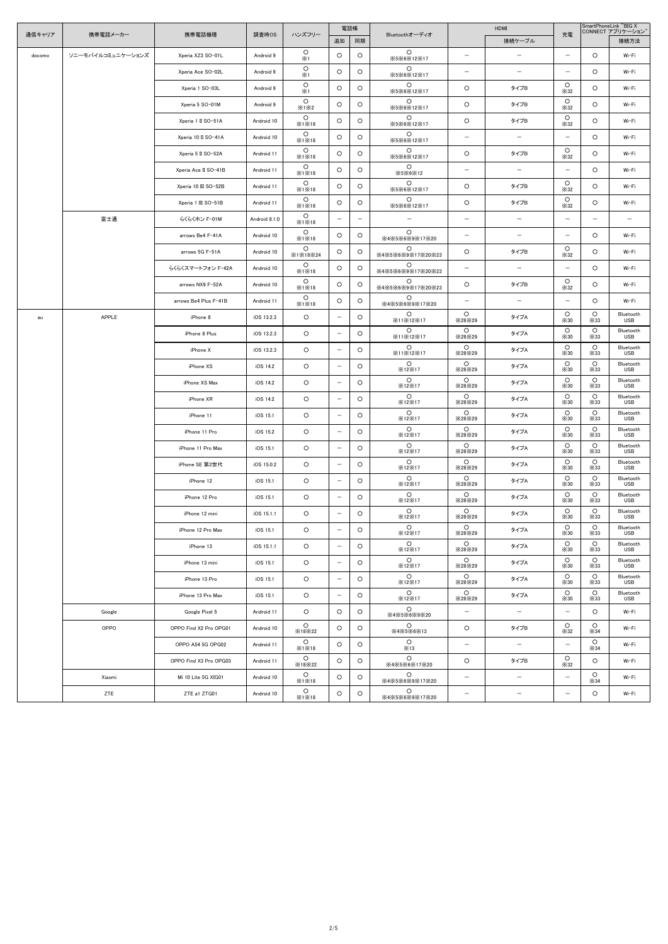|        | 携帯電話メーカー          |                        |               |                       |                          | 電話帳     |                                              |                                    | HDMI                     |                          | SmartPhoneLink "BIG X<br>CONNECT アプリケーション" |                         |
|--------|-------------------|------------------------|---------------|-----------------------|--------------------------|---------|----------------------------------------------|------------------------------------|--------------------------|--------------------------|--------------------------------------------|-------------------------|
| 通信キャリア |                   | 携帯電話機種                 | 調査時OS         | ハンズフリー                | 追加                       | 同期      | Bluetoothオーディオ                               |                                    | 接続ケーブル                   | 充電                       |                                            | 接続方法                    |
| docomo | ソニーモバイルコミュニケーションズ | Xperia XZ3 SO-01L      | Android 9     | $\circ$<br>$\times 1$ | $\circ$                  | $\circ$ | $\circ$<br>X5X6X12X17                        | $\overline{\phantom{m}}$           | $\overline{\phantom{m}}$ | $-$                      | $\circ$                                    | Wi-Fi                   |
|        |                   | Xperia Ace SO-02L      | Android 9     | $\circ$<br>$\times 1$ | $\circ$                  | $\circ$ | $\circ$<br>X5X6X12X17                        | $\overline{\phantom{m}}$           | $\overline{\phantom{m}}$ | $\qquad \qquad -$        | $\circ$                                    | Wi-Fi                   |
|        |                   | Xperia 1 SO-03L        | Android 9     | $\circ$<br>$\times 1$ | $\circ$                  | $\circ$ | $\circ$<br>X5X6X12X17                        | $\circ$                            | タイプB                     | $\circ$<br>$\times 32$   | $\circ$                                    | Wi-Fi                   |
|        |                   | Xperia 5 SO-01M        | Android 9     | $\circ$<br>X1X2       | $\circ$                  | $\circ$ | $\circ$<br>X5X6X12X17                        | $\circ$                            | タイプB                     | $\circ$<br>$\times$ 32   | $\circ$                                    | Wi-Fi                   |
|        |                   | Xperia 1 II SO-51A     | Android 10    | $\circ$<br>X1X18      | $\circ$                  | $\circ$ | $\circ$<br>X5X6X12X17                        | $\circ$                            | タイプB                     | $\circ$<br>$\times$ 32   | $\circ$                                    | Wi-Fi                   |
|        |                   | Xperia 10 II SO-41A    | Android 10    | $\circ$<br>X1X18      | $\circ$                  | $\circ$ | $\circ$<br>X5X6X12X17                        | $\overline{\phantom{m}}$           | $\qquad \qquad -$        | $-$                      | $\circ$                                    | Wi-Fi                   |
|        |                   | Xperia 5 II SO-52A     | Android 11    | $\circ$<br>X1X18      | $\circ$                  | $\circ$ | $\circ$<br>X5X6X12X17                        | $\circ$                            | タイプB                     | $\circ$<br>$\times$ 32   | $\circ$                                    | Wi-Fi                   |
|        |                   | Xperia Ace II SO-41B   | Android 11    | $\circ$<br>X1X18      | $\circ$                  | $\circ$ | $\circ$<br>$\times$ 5 $\times$ 6 $\times$ 12 | $\overline{\phantom{m}}$           | $\qquad \qquad -$        | $-$                      | $\circ$                                    | Wi-Fi                   |
|        |                   | Xperia 10 III SO-52B   | Android 11    | $\circ$<br>X1X18      | $\circ$                  | $\circ$ | $\circ$<br>X5X6X12X17                        | O                                  | タイプB                     | $\circ$<br>$\times$ 32   | $\circ$                                    | Wi-Fi                   |
|        |                   | Xperia 1 III SO-51B    | Android 11    | $\circ$<br>X1X18      | $\circ$                  | $\circ$ | $\circ$<br>※5※6※12※17                        | $\circ$                            | タイプB                     | $\circ$<br>$\times$ 32   | $\circ$                                    | Wi-Fi                   |
|        | 富士通               | らくらくホン F-01M           | Android 8.1.0 | $\circ$<br>X1X18      | $\overline{\phantom{m}}$ | $-$     | $\overline{\phantom{m}}$                     | $\overline{\phantom{m}}$           | $\qquad \qquad -$        | $\qquad \qquad -$        | $\qquad \qquad -$                          | $\qquad -$              |
|        |                   | arrows Be4 F-41A       | Android 10    | $\circ$<br>X1X18      | $\circ$                  | $\circ$ | $\circ$<br>※4※5※6※9※17※20                    | $\overline{\phantom{m}}$           | $\overline{\phantom{m}}$ | $\qquad \qquad -$        | $\circ$                                    | Wi-Fi                   |
|        |                   | arrows 5G F-51A        | Android 10    | $\circ$<br>X1X18X24   | $\circ$                  | $\circ$ | $\circ$<br>X4X5X6X9X17X20X23                 | $\circ$                            | タイプB                     | $\circ$<br>$\times$ 32   | $\circ$                                    | Wi-Fi                   |
|        |                   | らくらくスマートフォン F-42A      | Android 10    | $\circ$<br>X1X18      | $\circ$                  | $\circ$ | $\circ$<br>X4X5X6X9X17X20X23                 | $\overline{\phantom{m}}$           | $\qquad \qquad -$        | $\qquad \qquad -$        | $\circ$                                    | Wi-Fi                   |
|        |                   | arrows NX9 F-52A       | Android 10    | $\circ$<br>X1X18      | $\circ$                  | $\circ$ | $\circ$<br>※4※5※6※9※17※20※23                 | $\circ$                            | タイプB                     | $\circ$<br>$\times$ 32   | $\circ$                                    | Wi-Fi                   |
|        |                   | arrows Be4 Plus F-41B  | Android 11    | $\circ$<br>X1X18      | $\circ$                  | $\circ$ | $\circ$<br>※4※5※6※9※17※20                    | $\overline{\phantom{m}}$           | $\overline{\phantom{m}}$ | $-$                      | $\circ$                                    | Wi-Fi                   |
| au     | <b>APPLE</b>      | iPhone 8               | iOS 13.2.3    | $\circ$               | $\overline{\phantom{m}}$ | $\circ$ | $\circ$<br>X11X12X17                         | $\circ$<br>$\times$ 28 $\times$ 29 | タイプA                     | $\circ$<br>$\times$ 30   | $\circ$<br>$\times$ 33                     | Bluetooth<br><b>USB</b> |
|        |                   | iPhone 8 Plus          | iOS 13.2.3    | $\circ$               | $\overline{\phantom{m}}$ | $\circ$ | $\circ$<br>X11X12X17                         | $\circ$<br>×28×29                  | タイプA                     | $\circ$<br>$\times$ 30   | $\circ$<br>$\times$ 33                     | Bluetooth<br>USB        |
|        |                   | iPhone X               | iOS 13.2.3    | $\circ$               | $\overline{\phantom{m}}$ | $\circ$ | $\circ$<br>X11X12X17                         | $\circ$<br>×28×29                  | タイプA                     | $\circ$<br>$\times$ 30   | $\circ$<br>$\times$ 33                     | Bluetooth<br><b>USB</b> |
|        |                   | iPhone XS              | iOS 14.2      | $\circ$               | $\overline{\phantom{m}}$ | $\circ$ | $\circ$<br>X12X17                            | $\circ$<br>X28X29                  | タイプA                     | $\circ$<br>$\times$ 30   | $\circ$<br>$\times$ 33                     | Bluetooth<br><b>USB</b> |
|        |                   | iPhone XS Max          | iOS 14.2      | $\circ$               | $\overline{\phantom{m}}$ | $\circ$ | $\circ$<br>X12X17                            | $\circ$<br>$\times$ 28 $\times$ 29 | タイプA                     | $\circ$<br>$\times$ 30   | $\circ$<br>$\times$ 33                     | Bluetooth<br><b>USB</b> |
|        |                   | iPhone XR              | iOS 14.2      | $\circ$               | $\overline{\phantom{m}}$ | $\circ$ | $\circ$<br>×12×17                            | $\circ$<br>$\times$ 28 $\times$ 29 | タイプA                     | $\circ$<br>$\times$ 30   | $\circ$<br>$\times$ 33                     | Bluetooth<br>USB        |
|        |                   | iPhone 11              | iOS 15.1      | $\circ$               | $\overline{\phantom{m}}$ | $\circ$ | $\circ$<br>X12X17                            | $\circ$<br>$\times$ 28 $\times$ 29 | タイプA                     | $\circ$<br>$\times$ 30   | $\circ$<br>$\times$ 33                     | Bluetooth<br><b>USB</b> |
|        |                   | iPhone 11 Pro          | iOS 15.2      | $\circ$               | $-$                      | $\circ$ | $\circ$<br>×12×17                            | $\circ$<br>$\times$ 28 $\times$ 29 | タイプA                     | $\circ$<br>$\times30$    | $\circ$<br>$\times$ 33                     | Bluetooth<br><b>USB</b> |
|        |                   | iPhone 11 Pro Max      | iOS 15.1      | $\circ$               | $-$                      | $\circ$ | $\circ$<br>X12X17                            | $\circ$<br>$\times$ 28 $\times$ 29 | タイプA                     | $\circ$<br>$\times$ 30   | $\circ$<br>$\times$ 33                     | Bluetooth<br><b>USB</b> |
|        |                   | iPhone SE 第2世代         | iOS 15.0.2    | $\circ$               | $-$                      | $\circ$ | $\circ$<br>×12×17                            | $\circ$<br>×28×29                  | タイプA                     | $\circ$<br>$\times$ 30   | $\circ$<br>$\times$ 33                     | Bluetooth<br><b>USB</b> |
|        |                   | iPhone 12              | iOS 15.1      | $\circ$               | $-$                      | $\circ$ | $\circ$<br>×12×17                            | $\circ$<br>×28×29                  | タイプA                     | $\circ$<br>$\times$ 30   | $\circ$<br>$\times$ 33                     | Bluetooth<br>USB        |
|        |                   | iPhone 12 Pro          | iOS 15.1      | $\circ$               | $-$                      | $\circ$ | $\circ$<br>×12×17                            | $\circ$<br>×28×29                  | タイプA                     | $\circ$<br>$\times$ 30   | $\circ$<br>$\times$ 33                     | Bluetooth<br><b>USB</b> |
|        |                   | iPhone 12 mini         | iOS 15.1.1    | $\circ$               | $-$                      | $\circ$ | $\circ$<br>X12X17                            | $\circ$<br>×28×29                  | タイプA                     | $\circ$<br>$\times$ 30   | $\circ$<br>$\times$ 33                     | Bluetooth<br>USB        |
|        |                   | iPhone 12 Pro Max      | iOS 15.1      | $\circ$               | $\overline{\phantom{m}}$ | $\circ$ | $\circ$<br>X12X17                            | $\circ$<br>×28×29                  | タイプA                     | $\circ$<br>$\times$ 30   | $\circ$<br>$\times$ 33                     | Bluetooth<br><b>USB</b> |
|        |                   | iPhone 13              | iOS 15.1.1    | $\circ$               | $-$                      | $\circ$ | $\circ$<br>×12×17                            | $\circ$<br>×28×29                  | タイプA                     | $\circ$<br>$\times$ 30   | $\circ$<br>$\times$ 33                     | Bluetooth<br><b>USB</b> |
|        |                   | iPhone 13 mini         | iOS 15.1      | $\circ$               | $-$                      | $\circ$ | $\circ$<br>X12X17                            | $\circ$<br>X28X29                  | タイプA                     | $\circ$<br>$\times30$    | $\circ$<br>$\times$ 33                     | Bluetooth<br><b>USB</b> |
|        |                   | iPhone 13 Pro          | iOS 15.1      | $\circ$               | $\overline{\phantom{m}}$ | $\circ$ | $\circ$<br>X12X17                            | $\circ$<br>×28×29                  | タイプA                     | $\circ$<br>$\times$ 30   | $\circ$<br>$\times$ 33                     | Bluetooth<br>USB        |
|        |                   | iPhone 13 Pro Max      | iOS 15.1      | $\circ$               | $\overline{\phantom{m}}$ | $\circ$ | $\circ$<br>X12X17                            | $\circ$<br>×28×29                  | タイプA                     | $\circ$<br>$\times$ 30   | $\circ$<br>$\times$ 33                     | Bluetooth<br><b>USB</b> |
|        | Google            | Google Pixel 5         | Android 11    | $\circ$               | $\circ$                  | $\circ$ | $\circ$<br>※4※5※6※9※20                       | $\overline{\phantom{m}}$           | $\qquad \qquad -$        | $-$                      | $\circ$                                    | Wi-Fi                   |
|        | OPPO              | OPPO Find X2 Pro OPG01 | Android 10    | $\circ$<br>X18X22     | $\circ$                  | $\circ$ | $\circ$<br>X4X5X6X13                         | $\circ$                            | タイプB                     | $\circ$<br>$\times 32$   | $\circ$<br>$\times 34$                     | Wi-Fi                   |
|        |                   | OPPO A54 5G OPG02      | Android 11    | $\circ$<br>X1X18      | $\circ$                  | $\circ$ | $\circ$<br>×13                               | $\qquad \qquad -$                  | $-$                      | $\qquad \qquad -$        | $\circ$<br>$\times$ 34                     | Wi-Fi                   |
|        |                   | OPPO Find X3 Pro OPG03 | Android 11    | $\circ$<br>X18X22     | $\circ$                  | $\circ$ | $\circ$<br>X4X5X6X17X20                      | $\circ$                            | タイプB                     | $\circ$<br>$\times$ 32   | $\circ$                                    | Wi-Fi                   |
|        | Xiaomi            | Mi 10 Lite 5G XIG01    | Android 10    | $\circ$<br>X1X18      | $\circ$                  | $\circ$ | $\circ$<br>X4X5X6X9X17X20                    | $\overline{\phantom{m}}$           | $-$                      | $\overline{\phantom{0}}$ | $\circ$<br>$\times$ 34                     | Wi-Fi                   |
|        | ZTE               | ZTE a1 ZTG01           | Android 10    | $\circ$<br>X1X18      | $\circ$                  | $\circ$ | $\circ$<br>※4※5※6※9※17※20                    | $\overline{\phantom{m}}$           | $\qquad \qquad -$        | $\qquad \qquad -$        | $\circ$                                    | Wi-Fi                   |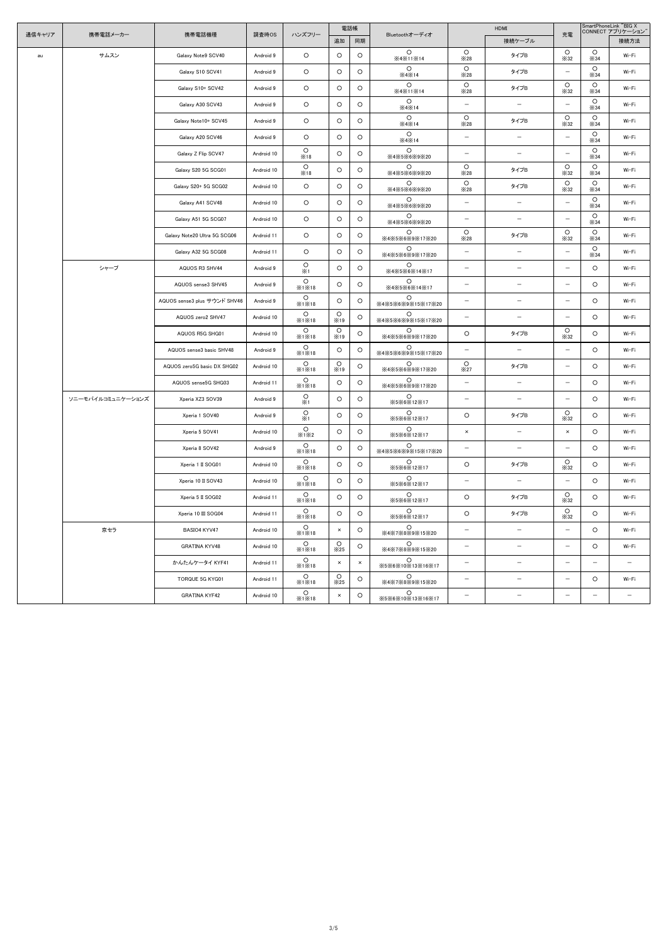|        | 携帯電話メーカー          | 携帯電話機種                       | 調査時OS      | ハンズフリー                | 電話帳                    |          |                                   | HDMI                     |                          |                          | SmartPhoneLink "BIG X<br>CONNECT アプリケーション" |                   |
|--------|-------------------|------------------------------|------------|-----------------------|------------------------|----------|-----------------------------------|--------------------------|--------------------------|--------------------------|--------------------------------------------|-------------------|
| 通信キャリア |                   |                              |            |                       | 追加                     | 同期       | Bluetoothオーディオ                    |                          | 接続ケーブル                   | 充電                       |                                            | 接続方法              |
| au     | サムスン              | Galaxy Note9 SCV40           | Android 9  | $\circ$               | $\circ$                | $\circ$  | $\circ$<br>X4X11X14               | $\circ$<br>×28           | タイプB                     | $\circ$<br>$\times$ 32   | $\circ$<br>$\times$ 34                     | Wi-Fi             |
|        |                   | Galaxy S10 SCV41             | Android 9  | $\circ$               | O                      | $\circ$  | $\circ$<br>X4X14                  | $\circ$<br>X28           | タイプB                     | $\qquad \qquad -$        | $\circ$<br>$\times$ 34                     | Wi-Fi             |
|        |                   | Galaxy S10+ SCV42            | Android 9  | $\circ$               | $\circ$                | $\circ$  | $\circ$<br>X4X11X14               | $\circ$<br>×28           | タイプB                     | $\circ$<br>$\times 32$   | $\circ$<br>$\times$ 34                     | Wi-Fi             |
|        |                   | Galaxy A30 SCV43             | Android 9  | $\circ$               | $\circ$                | $\circ$  | $\circ$<br>X4X14                  | $\qquad \qquad -$        | $\overline{\phantom{m}}$ | $\overline{\phantom{0}}$ | $\circ$<br>$\times$ 34                     | Wi-Fi             |
|        |                   | Galaxy Note10+ SCV45         | Android 9  | $\circ$               | $\circ$                | $\circ$  | $\circ$<br>$\times$ 4 $\times$ 14 | $\circ$<br>×28           | タイプB                     | $\circ$<br>$\times 32$   | $\circ$<br>$\times$ 34                     | Wi-Fi             |
|        |                   | Galaxy A20 SCV46             | Android 9  | $\circ$               | $\circ$                | $\circ$  | $\circ$<br>$\times$ 4 $\times$ 14 | $\overline{\phantom{m}}$ | $\overline{\phantom{m}}$ | $\overline{\phantom{0}}$ | $\circ$<br>$\times$ 34                     | Wi-Fi             |
|        |                   | Galaxy Z Flip SCV47          | Android 10 | $\circ$<br>×18        | O                      | $\circ$  | $\circ$<br>※4※5※6※9※20            | $\qquad \qquad -$        | $\overline{\phantom{m}}$ | $\overline{\phantom{m}}$ | $\circ$<br>$\times$ 34                     | Wi-Fi             |
|        |                   | Galaxy S20 5G SCG01          | Android 10 | $\circ$<br>×18        | $\circ$                | $\circ$  | $\circ$<br>X4X5X6X9X20            | $\circ$<br>×28           | タイプB                     | $\circ$<br>$\times$ 32   | $\circ$<br>$\times$ 34                     | Wi-Fi             |
|        |                   | Galaxy S20+ 5G SCG02         | Android 10 | $\circ$               | $\circ$                | $\circ$  | $\circ$<br>※4※5※6※9※20            | $\circ$<br>X28           | タイプB                     | $\circ$<br>$\times$ 32   | $\circ$<br>$\times$ 34                     | Wi-Fi             |
|        |                   | Galaxy A41 SCV48             | Android 10 | $\circ$               | $\circ$                | $\circ$  | $\circ$<br>X4X5X6X9X20            | $\qquad \qquad -$        | $\qquad \qquad -$        | $\qquad \qquad -$        | $\circ$<br>$\times$ 34                     | Wi-Fi             |
|        |                   | Galaxy A51 5G SCG07          | Android 10 | $\circ$               | $\circ$                | $\circ$  | $\circ$<br>※4※5※6※9※20            | $\qquad \qquad -$        | $\qquad \qquad -$        | $\overline{\phantom{0}}$ | $\circ$<br>$\times$ 34                     | Wi-Fi             |
|        |                   | Galaxy Note20 Ultra 5G SCG06 | Android 11 | $\circ$               | $\circ$                | $\circ$  | $\circ$<br>X4X5X6X9X17X20         | $\circ$<br>×28           | タイプB                     | $\circ$<br>$\times 32$   | $\circ$<br>$\times$ 34                     | Wi-Fi             |
|        |                   | Galaxy A32 5G SCG08          | Android 11 | $\circ$               | $\circ$                | $\circ$  | $\circ$<br>※4※5※6※9※17※20         | $\qquad \qquad -$        | $\overline{\phantom{m}}$ | $\overline{\phantom{0}}$ | $\circ$<br>$\times$ 34                     | Wi-Fi             |
|        | シャープ              | AQUOS R3 SHV44               | Android 9  | $\circ$<br>$\times 1$ | O                      | $\circ$  | $\circ$<br>X4X5X6X14X17           | $\qquad \qquad -$        | $\qquad \qquad -$        | $\qquad \qquad -$        | $\circ$                                    | Wi-Fi             |
|        |                   | AQUOS sense3 SHV45           | Android 9  | $\circ$<br>X1X18      | $\circ$                | $\circ$  | $\circ$<br>X4X5X6X14X17           | $-$                      | $\qquad \qquad -$        | $\qquad \qquad -$        | $\circ$                                    | Wi-Fi             |
|        |                   | AQUOS sense3 plus サウンド SHV46 | Android 9  | $\circ$<br>X1X18      | O                      | $\circ$  | $\circ$<br>※4※5※6※9※15※17※20      | $\qquad \qquad -$        | $\qquad \qquad -$        | $\qquad \qquad -$        | $\circ$                                    | Wi-Fi             |
|        |                   | AQUOS zero2 SHV47            | Android 10 | $\circ$<br>X1X18      | $\circ$<br>×19         | $\circ$  | $\circ$<br>X4X5X6X9X15X17X20      | $\qquad \qquad -$        | $\qquad \qquad -$        | $\qquad \qquad -$        | $\circ$                                    | Wi-Fi             |
|        |                   | AQUOS R5G SHG01              | Android 10 | $\circ$<br>X1X18      | $\circ$<br>×19         | $\circ$  | $\circ$<br>※4※5※6※9※17※20         | $\circ$                  | タイプB                     | $\circ$<br>$\times$ 32   | $\circ$                                    | Wi-Fi             |
|        |                   | AQUOS sense3 basic SHV48     | Android 9  | $\circ$<br>X1X18      | O                      | $\circ$  | $\circ$<br>※4※5※6※9※15※17※20      | $\overline{\phantom{m}}$ | $\qquad \qquad -$        | $\qquad \qquad -$        | $\circ$                                    | Wi-Fi             |
|        |                   | AQUOS zero5G basic DX SHG02  | Android 10 | $\circ$<br>X1X18      | $\circ$<br>×19         | $\circ$  | $\circ$<br>※4※5※6※9※17※20         | $\circ$<br>×27           | タイプB                     | $-$                      | $\circ$                                    | Wi-Fi             |
|        |                   | AQUOS sense5G SHG03          | Android 11 | $\circ$<br>X1X18      | $\circ$                | $\circ$  | $\circ$<br>X4X5X6X9X17X20         | $\qquad \qquad -$        | $\qquad \qquad -$        | $\qquad \qquad -$        | $\circ$                                    | Wi-Fi             |
|        | ソニーモバイルコミュニケーションズ | Xperia XZ3 SOV39             | Android 9  | $\circ$<br>$\times 1$ | $\circ$                | $\circ$  | $\circ$<br>X5X6X12X17             | $\qquad \qquad -$        | $-$                      | $\overline{\phantom{m}}$ | $\circ$                                    | Wi-Fi             |
|        |                   | Xperia 1 SOV40               | Android 9  | $\circ$<br>$\times 1$ | $\circ$                | $\circ$  | $\circ$<br>X5X6X12X17             | $\circ$                  | タイプB                     | $\circ$<br>$\times$ 32   | $\circ$                                    | Wi-Fi             |
|        |                   | Xperia 5 SOV41               | Android 10 | $\circ$<br>X1X2       | $\circ$                | $\circ$  | $\circ$<br>X5X6X12X17             | $\times$                 | $-$                      | $\times$                 | $\circ$                                    | Wi-Fi             |
|        |                   | Xperia 8 SOV42               | Android 9  | $\circ$<br>X1X18      | $\circ$                | $\circ$  | $\circ$<br>X4X5X6X9X15X17X20      | $\qquad \qquad -$        | $\overline{\phantom{m}}$ | $\qquad \qquad -$        | $\circ$                                    | Wi-Fi             |
|        |                   | Xperia 1 II SOG01            | Android 10 | $\circ$<br>X1X18      | $\circ$                | $\circ$  | $\circ$<br>X5X6X12X17             | $\circ$                  | タイプB                     | $\circ$<br>$\times$ 32   | $\circ$                                    | Wi-Fi             |
|        |                   | Xperia 10 II SOV43           | Android 10 | $\circ$<br>X1X18      | $\circ$                | $\circ$  | $\circ$<br>X5X6X12X17             | $\qquad \qquad -$        | $\overline{\phantom{m}}$ | $\overline{\phantom{m}}$ | $\circ$                                    | Wi-Fi             |
|        |                   | Xperia 5 II SOG02            | Android 11 | $\circ$<br>X1X18      | $\circ$                | $\circ$  | $\circ$<br>X5X6X12X17             | $\circ$                  | タイプB                     | $\circ$<br>$\times$ 32   | $\circ$                                    | Wi-Fi             |
|        |                   | Xperia 10 III SOG04          | Android 11 | $\circ$<br>X1X18      | $\circ$                | $\circ$  | $\circ$<br>X5X6X12X17             | $\circ$                  | タイプB                     | $\circ$<br>$\times$ 32   | $\circ$                                    | Wi-Fi             |
|        | 京セラ               | BASIO4 KYV47                 | Android 10 | $\circ$<br>×1×18      | ×                      | $\circ$  | $\circ$<br>X4X7X8X9X15X20         | $\qquad \qquad -$        | $-$                      | $-$                      | $\circ$                                    | Wi-Fi             |
|        |                   | <b>GRATINA KYV48</b>         | Android 10 | $\circ$<br>X1X18      | $\circ$<br>$\times 25$ | $\circ$  | $\circ$<br>X4X7X8X9X15X20         | $\qquad \qquad -$        | $-$                      | $\qquad \qquad -$        | $\circ$                                    | Wi-Fi             |
|        |                   | かんたんケータイ KYF41               | Android 11 | $\circ$<br>X1X18      | $\times$               | $\times$ | $\circ$<br>X5X6X10X13X16X17       | $\qquad \qquad -$        | $\overline{\phantom{m}}$ | $-$                      | $\overline{\phantom{m}}$                   | $\qquad \qquad -$ |
|        |                   | TORQUE 5G KYG01              | Android 11 | $\circ$<br>×1×18      | $\circ$<br>$\times 25$ | $\circ$  | $\circ$<br>X4X7X8X9X15X20         | $\qquad \qquad -$        | $\overline{\phantom{m}}$ | $\overline{\phantom{m}}$ | $\circ$                                    | Wi-Fi             |
|        |                   | <b>GRATINA KYF42</b>         | Android 10 | $\circ$<br>X1X18      | $\times$               | $\circ$  | $\circ$<br>X5X6X10X13X16X17       | $\qquad \qquad -$        | $\overline{\phantom{m}}$ | $\qquad \qquad -$        | $\overline{\phantom{0}}$                   | $\qquad \qquad -$ |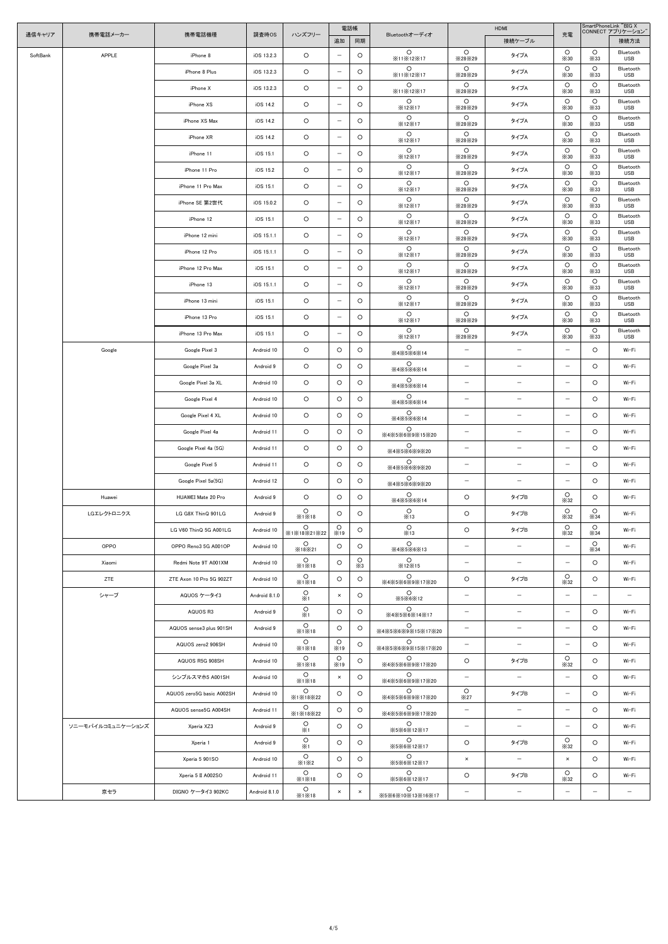|          |                   |                           |               | 電話帳                    |                          |                       |                                            | <b>HDMI</b>                        |                          |                                  |                          | SmartPhoneLink "BIG X<br>CONNECT アプリケーション" |
|----------|-------------------|---------------------------|---------------|------------------------|--------------------------|-----------------------|--------------------------------------------|------------------------------------|--------------------------|----------------------------------|--------------------------|--------------------------------------------|
| 通信キャリア   | 携帯電話メーカー          | 携帯電話機種                    | 調査時OS         | ハンズフリー                 | 追加                       | 同期                    | Bluetoothオーディオ                             |                                    | 接続ケーブル                   | 充電                               |                          | 接続方法                                       |
| SoftBank | APPLE             | iPhone 8                  | iOS 13.2.3    | $\circ$                | $\overline{\phantom{m}}$ | $\circ$               | $\circ$<br>X11X12X17                       | $\circ$<br>×28×29                  | タイプA                     | $\circ$<br>$\times30$            | $\circ$<br>$\times$ 33   | Bluetooth<br><b>USB</b>                    |
|          |                   | iPhone 8 Plus             | iOS 13.2.3    | $\circ$                | $\overline{\phantom{m}}$ | $\circ$               | $\circ$<br>X11X12X17                       | $\circ$<br>×28×29                  | タイプA                     | $\circ$<br>$\times$ 30           | $\circ$<br>$\times$ 33   | Bluetooth<br><b>USB</b>                    |
|          |                   | iPhone X                  | iOS 13.2.3    | $\circ$                | $\overline{\phantom{m}}$ | $\circ$               | $\circ$                                    | $\circ$                            | タイプA                     | $\circ$                          | $\circ$                  | Bluetooth<br><b>USB</b>                    |
|          |                   | iPhone XS                 | iOS 14.2      | $\circ$                | $\overline{\phantom{m}}$ | $\circ$               | X11X12X17<br>$\circ$                       | ×28×29<br>$\circ$                  | タイプA                     | $\times30$<br>$\circ$            | $\times$ 33<br>$\circ$   | Bluetooth                                  |
|          |                   |                           |               |                        |                          |                       | <b>X12X17</b><br>$\circ$                   | ×28×29<br>$\circ$                  |                          | $\times$ 30<br>$\circ$           | $\times$ 33<br>$\circ$   | <b>USB</b><br>Bluetooth                    |
|          |                   | iPhone XS Max             | iOS 14.2      | $\circ$                | $\overline{\phantom{m}}$ | $\circ$               | <b>X12X17</b><br>$\circ$                   | ×28×29<br>$\circ$                  | タイプA                     | $\times30$<br>$\circ$            | $\times$ 33<br>$\circ$   | <b>USB</b><br>Bluetooth                    |
|          |                   | iPhone XR                 | iOS 14.2      | $\circ$                | $\overline{\phantom{m}}$ | $\circ$               | X12X17                                     | ×28×29                             | タイプA                     | $\times30$                       | $\times$ 33              | <b>USB</b>                                 |
|          |                   | iPhone 11                 | iOS 15.1      | $\circ$                | $\overline{\phantom{m}}$ | $\circ$               | $\circ$<br>X12X17                          | $\circ$<br>$\times$ 28 $\times$ 29 | タイプA                     | $\circ$<br>$\times30$            | $\circ$<br>$\times$ 33   | Bluetooth<br><b>USB</b>                    |
|          |                   | iPhone 11 Pro             | iOS 15.2      | $\circ$                | $\overline{\phantom{m}}$ | $\circ$               | $\circ$<br>X12X17                          | $\circ$<br>×28×29                  | タイプA                     | $\circ$<br>$\times30$            | $\circ$<br>$\times$ 33   | Bluetooth<br><b>USB</b>                    |
|          |                   | iPhone 11 Pro Max         | iOS 15.1      | $\circ$                | $\overline{\phantom{m}}$ | $\circ$               | $\circ$<br>X12X17                          | $\circ$<br>×28×29                  | タイプA                     | $\circ$<br>$\times$ 30           | $\circ$<br>$\times$ 33   | Bluetooth<br><b>USB</b>                    |
|          |                   | iPhone SE 第2世代            | iOS 15.0.2    | $\circ$                | $\overline{\phantom{m}}$ | $\circ$               | $\circ$<br>X12X17                          | $\circ$<br>×28×29                  | タイプA                     | $\circ$<br>$\times30$            | $\circ$<br>$\times$ 33   | Bluetooth<br><b>USB</b>                    |
|          |                   | iPhone 12                 | iOS 15.1      | $\circ$                | $\overline{\phantom{m}}$ | $\circ$               | $\circ$<br>X12X17                          | $\circ$<br>×28×29                  | タイプA                     | $\circ$<br>$\times$ 30           | $\circ$<br>$\times$ 33   | Bluetooth<br><b>USB</b>                    |
|          |                   | iPhone 12 mini            | iOS 15.1.1    | $\circ$                | $\overline{\phantom{m}}$ | $\circ$               | $\circ$<br>X12X17                          | $\circ$<br>×28×29                  | タイプA                     | $\circ$<br>$\times$ 30           | $\circ$<br>$\times$ 33   | Bluetooth<br><b>USB</b>                    |
|          |                   | iPhone 12 Pro             | iOS 15.1.1    | $\circ$                | $\overline{\phantom{m}}$ | $\circ$               | $\circ$                                    | $\circ$                            | タイプA                     | $\circ$                          | $\circ$                  | Bluetooth                                  |
|          |                   | iPhone 12 Pro Max         | iOS 15.1      | $\circ$                | $\overline{\phantom{m}}$ | $\circ$               | <b>X12X17</b><br>$\circ$                   | ×28×29<br>$\circ$                  | タイプA                     | $\times30$<br>$\circ$            | $\times$ 33<br>$\circ$   | <b>USB</b><br>Bluetooth                    |
|          |                   |                           |               |                        |                          |                       | <b>X12X17</b><br>$\circ$                   | $\times$ 28 $\times$ 29<br>$\circ$ |                          | $\times30$<br>$\circ$            | $\times$ 33<br>$\circ$   | <b>USB</b><br>Bluetooth                    |
|          |                   | iPhone 13                 | iOS 15.1.1    | $\circ$                | $\overline{\phantom{m}}$ | $\circ$               | ×12×17<br>$\circ$                          | ×28×29<br>$\circ$                  | タイプA                     | $\times30$<br>$\circ$            | $\times$ 33<br>$\circ$   | <b>USB</b><br>Bluetooth                    |
|          |                   | iPhone 13 mini            | iOS 15.1      | $\circ$                | $\overline{\phantom{m}}$ | $\circ$               | X12X17                                     | ×28×29                             | タイプA                     | $\times30$                       | $\times$ 33              | <b>USB</b>                                 |
|          |                   | iPhone 13 Pro             | iOS 15.1      | $\circ$                | $\qquad \qquad -$        | $\circ$               | $\circ$<br>X12X17                          | $\circ$<br>×28×29                  | タイプA                     | $\circ$<br>$\times30$            | $\circ$<br>$\times$ 33   | Bluetooth<br><b>USB</b>                    |
|          |                   | iPhone 13 Pro Max         | iOS 15.1      | $\circ$                | $\overline{\phantom{m}}$ | $\circ$               | $\circ$<br><b>X12X17</b>                   | $\circ$<br>×28×29                  | タイプA                     | $\circ$<br>$\times$ 30           | $\circ$<br>$\times$ 33   | Bluetooth<br><b>USB</b>                    |
|          | Google            | Google Pixel 3            | Android 10    | $\circ$                | $\circ$                  | $\circ$               | $\circ$<br>X4X5X6X14                       | $\qquad \qquad -$                  | $\overline{\phantom{m}}$ | $-$                              | $\circ$                  | Wi-Fi                                      |
|          |                   | Google Pixel 3a           | Android 9     | $\circ$                | $\circ$                  | $\circ$               | $\circ$<br>X4X5X6X14                       | $\qquad \qquad -$                  | $\qquad \qquad -$        | $\qquad \qquad -$                | $\circ$                  | Wi-Fi                                      |
|          |                   | Google Pixel 3a XL        | Android 10    | $\circ$                | $\circ$                  | $\circ$               | $\circ$<br>$\times4\times5\times6\times14$ | $\qquad \qquad -$                  |                          | $\overline{\phantom{0}}$         | $\circ$                  | Wi-Fi                                      |
|          |                   | Google Pixel 4            | Android 10    | $\circ$                | $\circ$                  | $\circ$               | $\circ$<br>X4X5X6X14                       | $\qquad \qquad -$                  | $-$                      | $-$                              | $\circ$                  | Wi-Fi                                      |
|          |                   | Google Pixel 4 XL         | Android 10    | $\circ$                | $\circ$                  | $\circ$               | $\circ$                                    | $\qquad \qquad -$                  | $\overline{\phantom{m}}$ | $\qquad \qquad -$                | $\circ$                  | Wi-Fi                                      |
|          |                   | Google Pixel 4a           | Android 11    | $\circ$                | $\circ$                  | $\circ$               | X4X5X6X14<br>$\circ$                       | $\qquad \qquad -$                  | $\qquad \qquad -$        | $-$                              | $\circ$                  | Wi-Fi                                      |
|          |                   |                           |               |                        |                          |                       | X4X5X6X9X15X20<br>$\circ$                  |                                    |                          |                                  |                          |                                            |
|          |                   | Google Pixel 4a (5G)      | Android 11    | $\circ$                | $\circ$                  | $\circ$               | X4X5X6X9X20<br>$\circ$                     | $\qquad \qquad -$                  | $\overline{\phantom{m}}$ | $\qquad \qquad -$                | $\circ$                  | Wi-Fi                                      |
|          |                   | Google Pixel 5            | Android 11    | $\circ$                | $\circ$                  | $\circ$               | ※4※5※6※9※20                                | $\qquad \qquad -$                  | $\overline{\phantom{m}}$ | $\qquad \qquad -$                | $\circ$                  | Wi-Fi                                      |
|          |                   | Google Pixel 5a(5G)       | Android 12    | $\circ$                | $\circ$                  | $\circ$               | $\circ$<br>※4※5※6※9※20                     | $\qquad \qquad -$                  | $\overline{\phantom{m}}$ | $-$                              | $\circ$                  | Wi-Fi                                      |
|          | Huawei            | HUAWEI Mate 20 Pro        | Android 9     | $\circ$                | $\circ$                  | $\circ$               | $\circ$<br>$\times4\times5\times6\times14$ | $\circ$                            | タイプB                     | $\circ$<br>$\times$ 32           | $\circ$                  | Wi-Fi                                      |
|          | LGエレクトロニクス        | LG G8X ThinQ 901LG        | Android 9     | $\circ$<br>X1X18       | $\circ$                  | $\circ$               | $\circ$<br>×13                             | $\circ$                            | タイプB                     | $\circ$<br>$\times$ 32           | $\circ$<br>$\times$ 34   | Wi-Fi                                      |
|          |                   | LG V60 ThinQ 5G A001LG    | Android 10    | $\circ$<br>X1X18X21X22 | $\circ$<br>×19           | $\circ$               | $\circ$<br>×13                             | $\circ$                            | タイプB                     | $\circ$<br>$\times$ 32           | $\circ$<br>$\times$ 34   | Wi-Fi                                      |
|          | OPPO              | OPPO Reno3 5G A001OP      | Android 10    | $\circ$<br>×18×21      | $\circ$                  | $\circ$               | $\circ$<br>X4X5X6X13                       | $\qquad \qquad -$                  | $\overline{\phantom{m}}$ | $-$                              | $\circ$<br>$\times$ 34   | Wi-Fi                                      |
|          | Xiaomi            | Redmi Note 9T A001XM      | Android 10    | $\circ$<br>X1X18       | $\circ$                  | $\circ$<br>$\times 3$ | $\circ$<br>×12×15                          | $\qquad \qquad -$                  | $\qquad \qquad -$        | $-$                              | $\circ$                  | Wi-Fi                                      |
|          | ZTE               | ZTE Axon 10 Pro 5G 902ZT  | Android 10    | $\circ$                | $\circ$                  | $\circ$               | $\circ$                                    | $\circ$                            | タイプB                     | $\circ$                          | $\circ$                  | Wi-Fi                                      |
|          | シャープ              | AQUOS ケータイ3               | Android 8.1.0 | X1X18<br>$\circ$       | $\times$                 | $\circ$               | ※4※5※6※9※17※20<br>$\circ$                  | $\qquad \qquad -$                  | $\overline{\phantom{m}}$ | $\times 32$<br>$\qquad \qquad -$ | $\overline{\phantom{m}}$ | $\overline{\phantom{0}}$                   |
|          |                   |                           |               | $\times 1$<br>$\circ$  |                          |                       | X5X6X12<br>$\circ$                         |                                    |                          |                                  |                          |                                            |
|          |                   | AQUOS R3                  | Android 9     | $\times 1$<br>$\circ$  | $\circ$                  | $\circ$               | X4X5X6X14X17<br>$\circ$                    | $\qquad \qquad -$                  | $\overline{\phantom{m}}$ | $-$                              | $\circ$                  | Wi-Fi                                      |
|          |                   | AQUOS sense3 plus 901SH   | Android 9     | X1X18                  | $\circ$                  | $\circ$               | ※4※5※6※9※15※17※20                          | $\qquad \qquad -$                  | $\qquad \qquad -$        | $-$                              | $\circ$                  | Wi-Fi                                      |
|          |                   | AQUOS zero2 906SH         | Android 10    | $\circ$<br>X1X18       | $\circ$<br>×19           | $\circ$               | $\circ$<br>※4※5※6※9※15※17※20               | $\qquad \qquad -$                  | $\overline{\phantom{m}}$ | $\overline{\phantom{m}}$         | $\circ$                  | Wi-Fi                                      |
|          |                   | AQUOS R5G 908SH           | Android 10    | $\circ$<br>X1X18       | $\circ$<br>×19           | $\circ$               | $\circ$<br>※4※5※6※9※17※20                  | $\circ$                            | タイプB                     | $\circ$<br>$\times$ 32           | $\circ$                  | Wi-Fi                                      |
|          |                   | シンプルスマホ5 A001SH           | Android 10    | $\circ$<br>×1×18       | $\times$                 | $\circ$               | $\circ$<br>※4※5※6※9※17※20                  | $\qquad \qquad -$                  | $\overline{\phantom{m}}$ | $\qquad \qquad -$                | $\circ$                  | Wi-Fi                                      |
|          |                   | AQUOS zero5G basic A002SH | Android 10    | $\circ$<br>X1X18X22    | $\circ$                  | $\circ$               | O<br>※4※5※6※9※17※20                        | $\circ$<br>×27                     | タイプB                     | $-$                              | $\circ$                  | Wi-Fi                                      |
|          |                   | AQUOS sense5G A004SH      | Android 11    | $\circ$<br>X1X18X22    | $\circ$                  | $\circ$               | $\circ$<br>※4※5※6※9※17※20                  | $\qquad \qquad -$                  | $\overline{\phantom{m}}$ | $-$                              | $\circ$                  | Wi-Fi                                      |
|          | ソニーモバイルコミュニケーションズ | Xperia XZ3                | Android 9     | O<br>$\times 1$        | $\circ$                  | O                     | $\circ$<br>X5X6X12X17                      | $\qquad \qquad -$                  | $\qquad \qquad -$        | $\overline{\phantom{m}}$         | $\circ$                  | Wi-Fi                                      |
|          |                   | Xperia 1                  | Android 9     | $\circ$                | $\circ$                  | $\circ$               | $\circ$<br>X5X6X12X17                      | $\circ$                            | タイプB                     | $\circ$                          | $\circ$                  | Wi-Fi                                      |
|          |                   | Xperia 5 901SO            | Android 10    | ×1<br>$\circ$          | $\circ$                  | $\circ$               | $\circ$                                    | $\times$                           | $\qquad \qquad -$        | $\times$ 32<br>$\times$          | $\circ$                  | Wi-Fi                                      |
|          |                   | Xperia 5 II A002SO        | Android 11    | X1X2<br>$\circ$        | $\circ$                  | $\circ$               | X5X6X12X17<br>$\circ$                      | $\circ$                            | タイプB                     | $\circ$                          | $\circ$                  | Wi-Fi                                      |
|          |                   |                           |               | X1X18<br>$\circ$       |                          |                       | X5X6X12X17<br>$\circ$                      |                                    |                          | $\times$ 32                      |                          |                                            |
|          | 京セラ               | DIGNO ケータイ3 902KC         | Android 8.1.0 | X1X18                  | $\times$                 | $\times$              | ※5※6※10※13※16※17                           | $\overline{\phantom{m}}$           | $\qquad \qquad -$        | $\overline{\phantom{m}}$         | $\overline{\phantom{m}}$ | $\qquad \qquad -$                          |